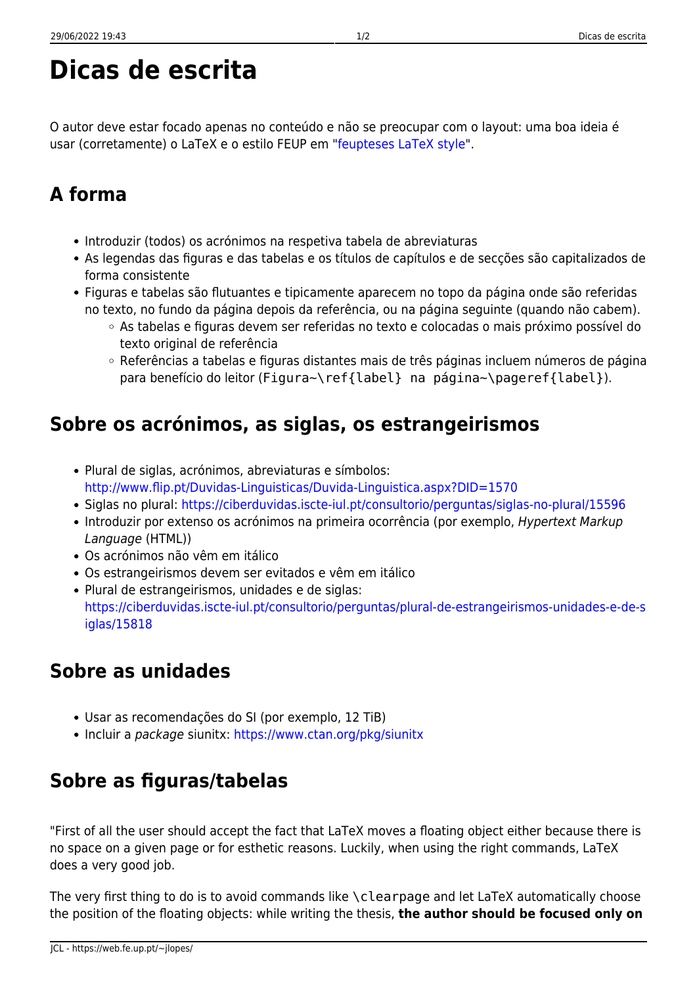# **Dicas de escrita**

O autor deve estar focado apenas no conteúdo e não se preocupar com o layout: uma boa ideia é usar (corretamente) o LaTeX e o estilo FEUP em "[feupteses LaTeX style"](https://web.fe.up.pt/~jlopes/doku.php/teach/feupteses).

## **A forma**

- Introduzir (todos) os acrónimos na respetiva tabela de abreviaturas
- As legendas das figuras e das tabelas e os títulos de capítulos e de secções são capitalizados de forma consistente
- Figuras e tabelas são flutuantes e tipicamente aparecem no topo da página onde são referidas no texto, no fundo da página depois da referência, ou na página seguinte (quando não cabem).
	- As tabelas e figuras devem ser referidas no texto e colocadas o mais próximo possível do texto original de referência
	- Referências a tabelas e figuras distantes mais de três páginas incluem números de página para benefício do leitor (Figura~\ref{label} na página~\pageref{label}).

## **Sobre os acrónimos, as siglas, os estrangeirismos**

- Plural de siglas, acrónimos, abreviaturas e símbolos: <http://www.flip.pt/Duvidas-Linguisticas/Duvida-Linguistica.aspx?DID=1570>
- Siglas no plural:<https://ciberduvidas.iscte-iul.pt/consultorio/perguntas/siglas-no-plural/15596>
- Introduzir por extenso os acrónimos na primeira ocorrência (por exemplo, Hypertext Markup Language (HTML))
- Os acrónimos não vêm em itálico
- Os estrangeirismos devem ser evitados e vêm em itálico
- Plural de estrangeirismos, unidades e de siglas: [https://ciberduvidas.iscte-iul.pt/consultorio/perguntas/plural-de-estrangeirismos-unidades-e-de-s](https://ciberduvidas.iscte-iul.pt/consultorio/perguntas/plural-de-estrangeirismos-unidades-e-de-siglas/15818) [iglas/15818](https://ciberduvidas.iscte-iul.pt/consultorio/perguntas/plural-de-estrangeirismos-unidades-e-de-siglas/15818)

## **Sobre as unidades**

- Usar as recomendações do SI (por exemplo, 12 TiB)
- Incluir a package siunitx: <https://www.ctan.org/pkg/siunitx>

## **Sobre as figuras/tabelas**

"First of all the user should accept the fact that LaTeX moves a floating object either because there is no space on a given page or for esthetic reasons. Luckily, when using the right commands, LaTeX does a very good job.

The very first thing to do is to avoid commands like \clearpage and let LaTeX automatically choose the position of the floating objects: while writing the thesis, **the author should be focused only on**